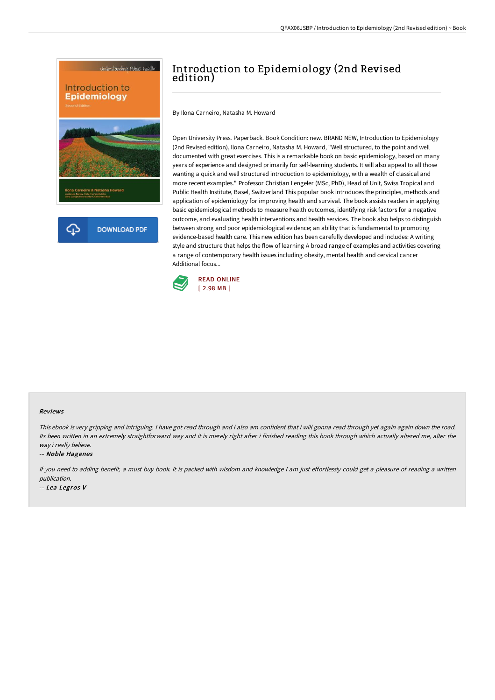

# Introduction to Epidemiology (2nd Revised edition)

By Ilona Carneiro, Natasha M. Howard

Open University Press. Paperback. Book Condition: new. BRAND NEW, Introduction to Epidemiology (2nd Revised edition), Ilona Carneiro, Natasha M. Howard, "Well structured, to the point and well documented with great exercises. This is a remarkable book on basic epidemiology, based on many years of experience and designed primarily for self-learning students. It will also appeal to all those wanting a quick and well structured introduction to epidemiology, with a wealth of classical and more recent examples." Professor Christian Lengeler (MSc, PhD), Head of Unit, Swiss Tropical and Public Health Institute, Basel, Switzerland This popular book introduces the principles, methods and application of epidemiology for improving health and survival. The book assists readers in applying basic epidemiological methods to measure health outcomes, identifying risk factors for a negative outcome, and evaluating health interventions and health services. The book also helps to distinguish between strong and poor epidemiological evidence; an ability that is fundamental to promoting evidence-based health care. This new edition has been carefully developed and includes: A writing style and structure that helps the flow of learning A broad range of examples and activities covering a range of contemporary health issues including obesity, mental health and cervical cancer Additional focus...



#### Reviews

This ebook is very gripping and intriguing. <sup>I</sup> have got read through and i also am confident that i will gonna read through yet again again down the road. Its been written in an extremely straightforward way and it is merely right after i finished reading this book through which actually altered me, alter the way i really believe.

#### -- Noble Hagenes

If you need to adding benefit, a must buy book. It is packed with wisdom and knowledge I am just effortlessly could get a pleasure of reading a written publication.

-- Lea Legros V